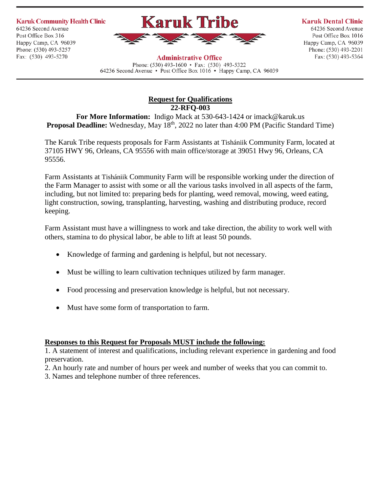**Karuk Community Health Clinic** 

64236 Second Avenue Post Office Box 316 Happy Camp, CA 96039 Phone: (530) 493-5257 Fax: (530) 493-5270



**Karuk Dental Clinic** 

64236 Second Avenue Post Office Box 1016 Happy Camp, CA 96039 Phone: (530) 493-2201 Fax: (530) 493-5364

**Administrative Office** Phone: (530) 493-1600 • Fax: (530) 493-5322 64236 Second Avenue • Post Office Box 1016 • Happy Camp, CA 96039

## **Request for Qualifications 22-RFQ-003**

**For More Information:** Indigo Mack at 530-643-1424 or imack@karuk.us **Proposal Deadline:** Wednesday, May 18<sup>th</sup>, 2022 no later than 4:00 PM (Pacific Standard Time)

The Karuk Tribe requests proposals for Farm Assistants at Tishániik Community Farm, located at 37105 HWY 96, Orleans, CA 95556 with main office/storage at 39051 Hwy 96, Orleans, CA 95556.

Farm Assistants at Tishániik Community Farm will be responsible working under the direction of the Farm Manager to assist with some or all the various tasks involved in all aspects of the farm, including, but not limited to: preparing beds for planting, weed removal, mowing, weed eating, light construction, sowing, transplanting, harvesting, washing and distributing produce, record keeping.

Farm Assistant must have a willingness to work and take direction, the ability to work well with others, stamina to do physical labor, be able to lift at least 50 pounds.

- Knowledge of farming and gardening is helpful, but not necessary.
- Must be willing to learn cultivation techniques utilized by farm manager.
- Food processing and preservation knowledge is helpful, but not necessary.
- Must have some form of transportation to farm.

## **Responses to this Request for Proposals MUST include the following:**

1. A statement of interest and qualifications, including relevant experience in gardening and food preservation.

2. An hourly rate and number of hours per week and number of weeks that you can commit to.

3. Names and telephone number of three references.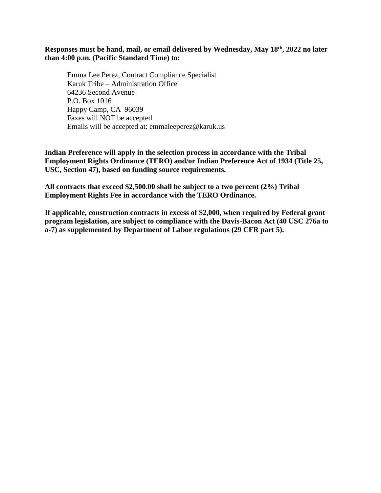**Responses must be hand, mail, or email delivered by Wednesday, May 18th, 2022 no later than 4:00 p.m. (Pacific Standard Time) to:**

Emma Lee Perez, Contract Compliance Specialist Karuk Tribe – Administration Office 64236 Second Avenue P.O. Box 1016 Happy Camp, CA 96039 Faxes will NOT be accepted Emails will be accepted at: emmaleeperez@karuk.us

**Indian Preference will apply in the selection process in accordance with the Tribal Employment Rights Ordinance (TERO) and/or Indian Preference Act of 1934 (Title 25, USC, Section 47), based on funding source requirements.**

**All contracts that exceed \$2,500.00 shall be subject to a two percent (2%) Tribal Employment Rights Fee in accordance with the TERO Ordinance.**

**If applicable, construction contracts in excess of \$2,000, when required by Federal grant program legislation, are subject to compliance with the Davis-Bacon Act (40 USC 276a to a-7) as supplemented by Department of Labor regulations (29 CFR part 5).**